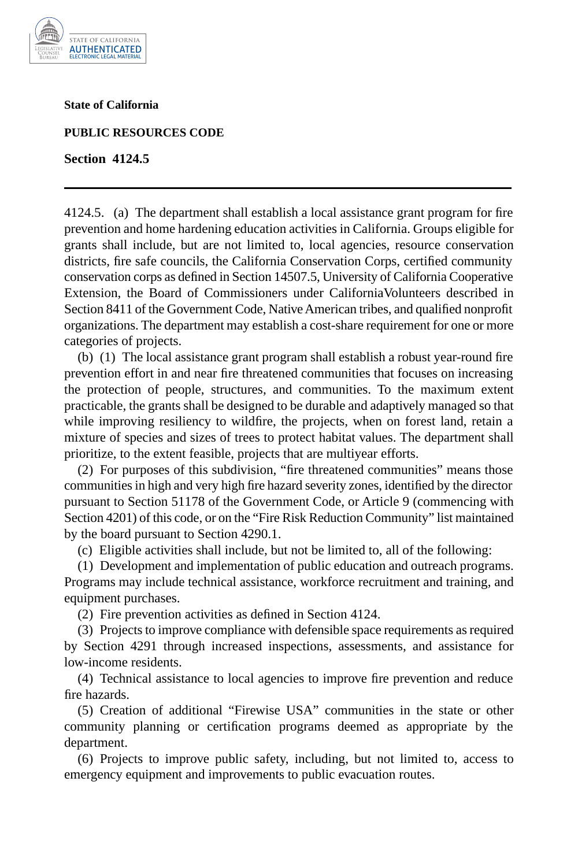

**State of California** 

**PUBLIC RESOURCES CODE** 

**Section 4124.5** 

4124.5. (a) The department shall establish a local assistance grant program for fire prevention and home hardening education activities in California. Groups eligible for grants shall include, but are not limited to, local agencies, resource conservation districts, fire safe councils, the California Conservation Corps, certified community conservation corps as defined in Section 14507.5, University of California Cooperative Extension, the Board of Commissioners under CaliforniaVolunteers described in Section 8411 of the Government Code, Native American tribes, and qualified nonprofit organizations. The department may establish a cost-share requirement for one or more categories of projects.

(b) (1) The local assistance grant program shall establish a robust year-round fire prevention effort in and near fire threatened communities that focuses on increasing the protection of people, structures, and communities. To the maximum extent practicable, the grants shall be designed to be durable and adaptively managed so that while improving resiliency to wildfire, the projects, when on forest land, retain a mixture of species and sizes of trees to protect habitat values. The department shall prioritize, to the extent feasible, projects that are multiyear efforts.

(2) For purposes of this subdivision, "fire threatened communities" means those communities in high and very high fire hazard severity zones, identified by the director pursuant to Section 51178 of the Government Code, or Article 9 (commencing with Section 4201) of this code, or on the "Fire Risk Reduction Community" list maintained by the board pursuant to Section 4290.1.

(c) Eligible activities shall include, but not be limited to, all of the following:

(1) Development and implementation of public education and outreach programs. Programs may include technical assistance, workforce recruitment and training, and equipment purchases.

(2) Fire prevention activities as defined in Section 4124.

(3) Projects to improve compliance with defensible space requirements as required by Section 4291 through increased inspections, assessments, and assistance for low-income residents.

(4) Technical assistance to local agencies to improve fire prevention and reduce fire hazards.

(5) Creation of additional "Firewise USA" communities in the state or other community planning or certification programs deemed as appropriate by the department.

(6) Projects to improve public safety, including, but not limited to, access to emergency equipment and improvements to public evacuation routes.